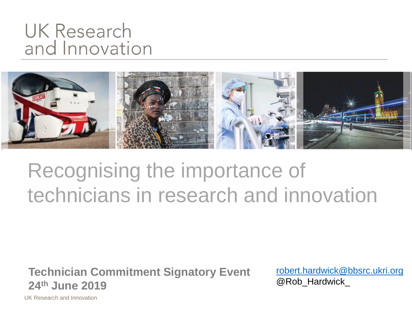## UK Research and Innovation



## Recognising the importance of technicians in research and innovation

**Technician Commitment Signatory Event 24th June 2019**

[robert.hardwick@bbsrc.ukri.org](mailto:robert.hardwick@bbsrc.ukri.org) @Rob\_Hardwick

UK Research and Innovation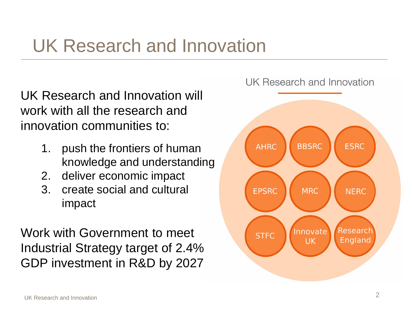## UK Research and Innovation

UK Research and Innovation will work with all the research and innovation communities to:

- 1. push the frontiers of human knowledge and understanding
- 2. deliver economic impact
- 3. create social and cultural impact

Work with Government to meet Industrial Strategy target of 2.4% GDP investment in R&D by 2027

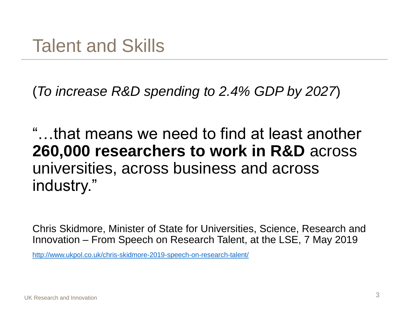(*To increase R&D spending to 2.4% GDP by 2027*)

"…that means we need to find at least another **260,000 researchers to work in R&D** across universities, across business and across industry."

Chris Skidmore, Minister of State for Universities, Science, Research and Innovation – From Speech on Research Talent, at the LSE, 7 May 2019

<http://www.ukpol.co.uk/chris-skidmore-2019-speech-on-research-talent/>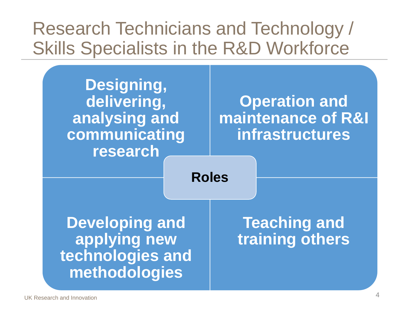## Research Technicians and Technology / Skills Specialists in the R&D Workforce

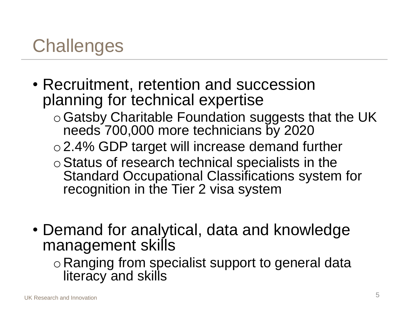## **Challenges**

- Recruitment, retention and succession planning for technical expertise
	- $\circ$  Gatsby Charitable Foundation suggests that the UK needs 700,000 more technicians by 2020
	- o2.4% GDP target will increase demand further
	- o Status of research technical specialists in the Standard Occupational Classifications system for recognition in the Tier 2 visa system
- Demand for analytical, data and knowledge management skills
	- o Ranging from specialist support to general data literacy and skills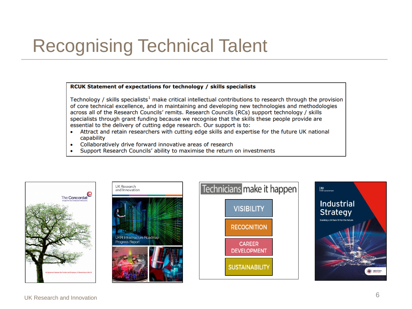## Recognising Technical Talent

#### RCUK Statement of expectations for technology / skills specialists

Technology / skills specialists<sup>1</sup> make critical intellectual contributions to research through the provision of core technical excellence, and in maintaining and developing new technologies and methodologies across all of the Research Councils' remits. Research Councils (RCs) support technology / skills specialists through grant funding because we recognise that the skills these people provide are essential to the delivery of cutting edge research. Our support is to:

- Attract and retain researchers with cutting edge skills and expertise for the future UK national  $\bullet$ capability
- Collaboratively drive forward innovative areas of research  $\bullet$
- Support Research Councils' ability to maximise the return on investments







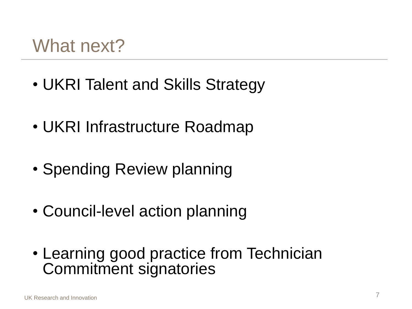## What next?

- UKRI Talent and Skills Strategy
- UKRI Infrastructure Roadmap
- Spending Review planning
- Council-level action planning
- Learning good practice from Technician Commitment signatories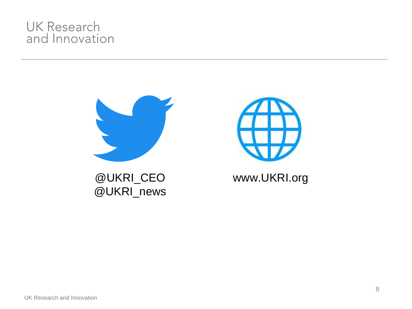#### **UK Research** and Innovation



@UKRI\_CEO @UKRI\_news



www.UKRI.org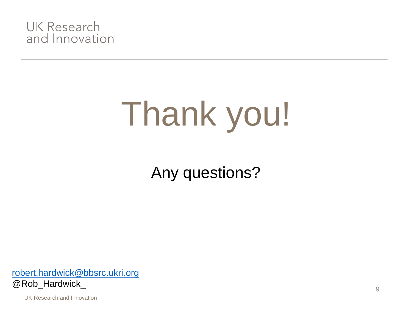

# Thank you!

Any questions?

[robert.hardwick@bbsrc.ukri.org](mailto:robert.hardwick@bbsrc.ukri.org) @Rob\_Hardwick\_

UK Research and Innovation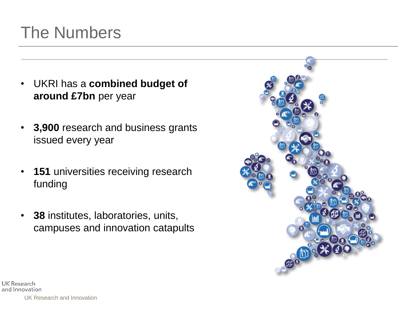## The Numbers

- UKRI has a **combined budget of around £7bn** per year
- **3,900** research and business grants issued every year
- **151** universities receiving research funding
- **38** institutes, laboratories, units, campuses and innovation catapults



UK Research